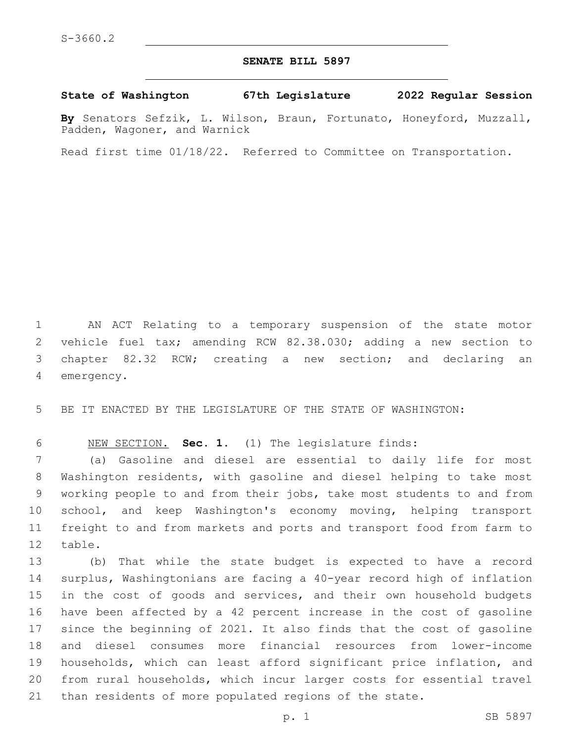## **SENATE BILL 5897**

## **State of Washington 67th Legislature 2022 Regular Session**

**By** Senators Sefzik, L. Wilson, Braun, Fortunato, Honeyford, Muzzall, Padden, Wagoner, and Warnick

Read first time 01/18/22. Referred to Committee on Transportation.

 AN ACT Relating to a temporary suspension of the state motor vehicle fuel tax; amending RCW 82.38.030; adding a new section to chapter 82.32 RCW; creating a new section; and declaring an 4 emergency.

BE IT ENACTED BY THE LEGISLATURE OF THE STATE OF WASHINGTON:

NEW SECTION. **Sec. 1.** (1) The legislature finds:

 (a) Gasoline and diesel are essential to daily life for most Washington residents, with gasoline and diesel helping to take most working people to and from their jobs, take most students to and from school, and keep Washington's economy moving, helping transport freight to and from markets and ports and transport food from farm to 12 table.

 (b) That while the state budget is expected to have a record surplus, Washingtonians are facing a 40-year record high of inflation in the cost of goods and services, and their own household budgets have been affected by a 42 percent increase in the cost of gasoline since the beginning of 2021. It also finds that the cost of gasoline and diesel consumes more financial resources from lower-income households, which can least afford significant price inflation, and from rural households, which incur larger costs for essential travel than residents of more populated regions of the state.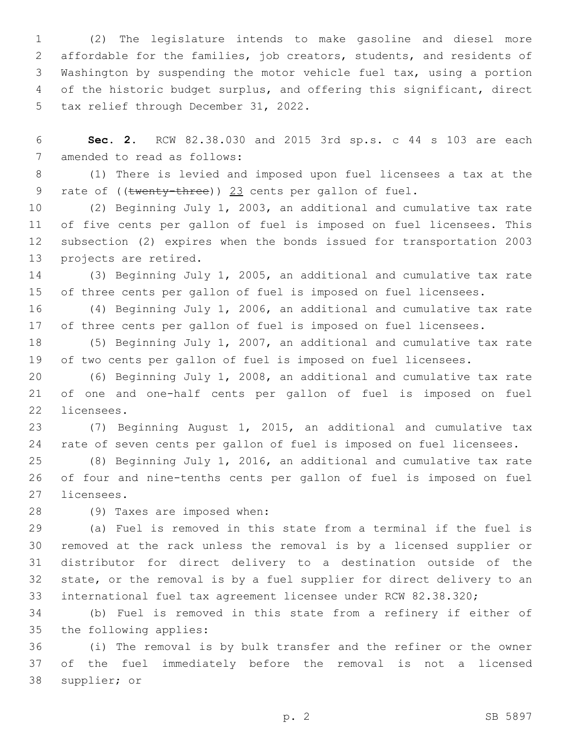(2) The legislature intends to make gasoline and diesel more affordable for the families, job creators, students, and residents of Washington by suspending the motor vehicle fuel tax, using a portion of the historic budget surplus, and offering this significant, direct 5 tax relief through December 31, 2022.

 **Sec. 2.** RCW 82.38.030 and 2015 3rd sp.s. c 44 s 103 are each 7 amended to read as follows:

 (1) There is levied and imposed upon fuel licensees a tax at the 9 rate of ((twenty-three)) 23 cents per gallon of fuel.

 (2) Beginning July 1, 2003, an additional and cumulative tax rate of five cents per gallon of fuel is imposed on fuel licensees. This subsection (2) expires when the bonds issued for transportation 2003 13 projects are retired.

 (3) Beginning July 1, 2005, an additional and cumulative tax rate of three cents per gallon of fuel is imposed on fuel licensees.

 (4) Beginning July 1, 2006, an additional and cumulative tax rate of three cents per gallon of fuel is imposed on fuel licensees.

 (5) Beginning July 1, 2007, an additional and cumulative tax rate of two cents per gallon of fuel is imposed on fuel licensees.

 (6) Beginning July 1, 2008, an additional and cumulative tax rate of one and one-half cents per gallon of fuel is imposed on fuel 22 licensees.

 (7) Beginning August 1, 2015, an additional and cumulative tax rate of seven cents per gallon of fuel is imposed on fuel licensees.

 (8) Beginning July 1, 2016, an additional and cumulative tax rate of four and nine-tenths cents per gallon of fuel is imposed on fuel 27 licensees.

28 (9) Taxes are imposed when:

 (a) Fuel is removed in this state from a terminal if the fuel is removed at the rack unless the removal is by a licensed supplier or distributor for direct delivery to a destination outside of the state, or the removal is by a fuel supplier for direct delivery to an international fuel tax agreement licensee under RCW 82.38.320;

 (b) Fuel is removed in this state from a refinery if either of 35 the following applies:

 (i) The removal is by bulk transfer and the refiner or the owner of the fuel immediately before the removal is not a licensed 38 supplier; or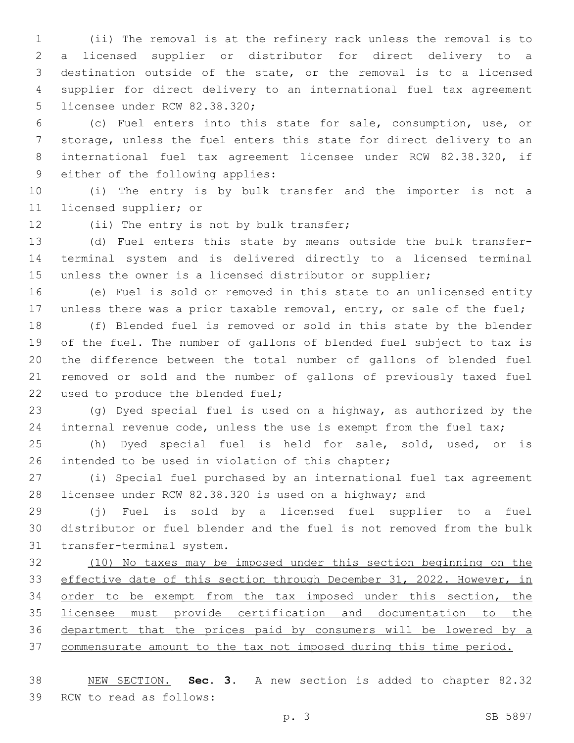(ii) The removal is at the refinery rack unless the removal is to a licensed supplier or distributor for direct delivery to a destination outside of the state, or the removal is to a licensed supplier for direct delivery to an international fuel tax agreement 5 licensee under RCW 82.38.320;

 (c) Fuel enters into this state for sale, consumption, use, or storage, unless the fuel enters this state for direct delivery to an international fuel tax agreement licensee under RCW 82.38.320, if 9 either of the following applies:

 (i) The entry is by bulk transfer and the importer is not a 11 licensed supplier; or

12 (ii) The entry is not by bulk transfer;

 (d) Fuel enters this state by means outside the bulk transfer- terminal system and is delivered directly to a licensed terminal unless the owner is a licensed distributor or supplier;

 (e) Fuel is sold or removed in this state to an unlicensed entity 17 unless there was a prior taxable removal, entry, or sale of the fuel;

 (f) Blended fuel is removed or sold in this state by the blender of the fuel. The number of gallons of blended fuel subject to tax is the difference between the total number of gallons of blended fuel removed or sold and the number of gallons of previously taxed fuel 22 used to produce the blended fuel;

 (g) Dyed special fuel is used on a highway, as authorized by the 24 internal revenue code, unless the use is exempt from the fuel tax;

 (h) Dyed special fuel is held for sale, sold, used, or is 26 intended to be used in violation of this chapter;

 (i) Special fuel purchased by an international fuel tax agreement licensee under RCW 82.38.320 is used on a highway; and

 (j) Fuel is sold by a licensed fuel supplier to a fuel distributor or fuel blender and the fuel is not removed from the bulk 31 transfer-terminal system.

 (10) No taxes may be imposed under this section beginning on the effective date of this section through December 31, 2022. However, in order to be exempt from the tax imposed under this section, the licensee must provide certification and documentation to the department that the prices paid by consumers will be lowered by a commensurate amount to the tax not imposed during this time period.

 NEW SECTION. **Sec. 3.** A new section is added to chapter 82.32 39 RCW to read as follows: